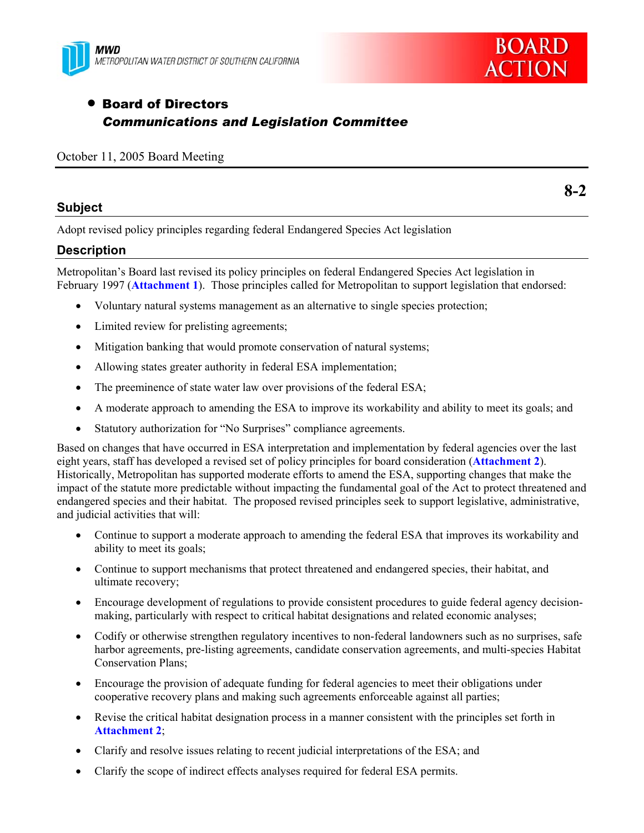



# • Board of Directors *Communications and Legislation Committee*

#### October 11, 2005 Board Meeting

## **Subject**

**8-2** 

Adopt revised policy principles regarding federal Endangered Species Act legislation

## **Description**

Metropolitan's Board last revised its policy principles on federal Endangered Species Act legislation in February 1997 (**Attachment 1**). Those principles called for Metropolitan to support legislation that endorsed:

- Voluntary natural systems management as an alternative to single species protection;
- Limited review for prelisting agreements;
- Mitigation banking that would promote conservation of natural systems;
- Allowing states greater authority in federal ESA implementation;
- The preeminence of state water law over provisions of the federal ESA;
- A moderate approach to amending the ESA to improve its workability and ability to meet its goals; and
- Statutory authorization for "No Surprises" compliance agreements.

Based on changes that have occurred in ESA interpretation and implementation by federal agencies over the last eight years, staff has developed a revised set of policy principles for board consideration (**Attachment 2**). Historically, Metropolitan has supported moderate efforts to amend the ESA, supporting changes that make the impact of the statute more predictable without impacting the fundamental goal of the Act to protect threatened and endangered species and their habitat. The proposed revised principles seek to support legislative, administrative, and judicial activities that will:

- Continue to support a moderate approach to amending the federal ESA that improves its workability and ability to meet its goals;
- Continue to support mechanisms that protect threatened and endangered species, their habitat, and ultimate recovery;
- Encourage development of regulations to provide consistent procedures to guide federal agency decisionmaking, particularly with respect to critical habitat designations and related economic analyses;
- Codify or otherwise strengthen regulatory incentives to non-federal landowners such as no surprises, safe harbor agreements, pre-listing agreements, candidate conservation agreements, and multi-species Habitat Conservation Plans;
- Encourage the provision of adequate funding for federal agencies to meet their obligations under cooperative recovery plans and making such agreements enforceable against all parties;
- Revise the critical habitat designation process in a manner consistent with the principles set forth in **Attachment 2**;
- Clarify and resolve issues relating to recent judicial interpretations of the ESA; and
- Clarify the scope of indirect effects analyses required for federal ESA permits.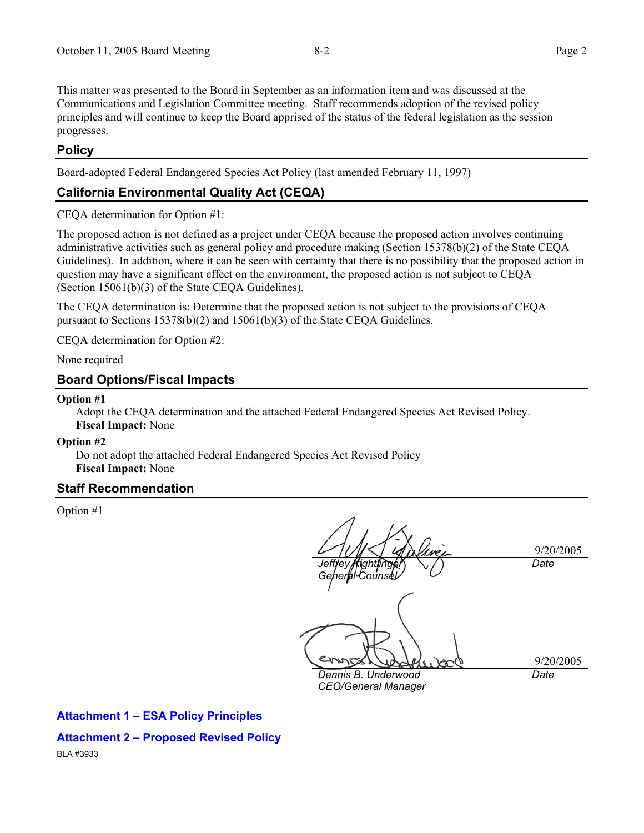This matter was presented to the Board in September as an information item and was discussed at the Communications and Legislation Committee meeting. Staff recommends adoption of the revised policy principles and will continue to keep the Board apprised of the status of the federal legislation as the session progresses.

## **Policy**

Board-adopted Federal Endangered Species Act Policy (last amended February 11, 1997)

## **California Environmental Quality Act (CEQA)**

CEQA determination for Option #1:

The proposed action is not defined as a project under CEQA because the proposed action involves continuing administrative activities such as general policy and procedure making (Section 15378(b)(2) of the State CEQA Guidelines). In addition, where it can be seen with certainty that there is no possibility that the proposed action in question may have a significant effect on the environment, the proposed action is not subject to CEQA (Section 15061(b)(3) of the State CEQA Guidelines).

The CEQA determination is: Determine that the proposed action is not subject to the provisions of CEQA pursuant to Sections 15378(b)(2) and 15061(b)(3) of the State CEQA Guidelines.

CEQA determination for Option #2:

None required

#### **Board Options/Fiscal Impacts**

#### **Option #1**

Adopt the CEQA determination and the attached Federal Endangered Species Act Revised Policy. **Fiscal Impact:** None

#### **Option #2**

Do not adopt the attached Federal Endangered Species Act Revised Policy **Fiscal Impact:** None

## **Staff Recommendation**

Option #1

9/20/2005 *Jeffrey Kightlinger*  her*l*aMCounse *Date* 

9/20/2005 *Date* 

*Dennis B. Underwood CEO/General Manager* 

**Attachment 1 – ESA Policy Principles** 

**Attachment 2 – Proposed Revised Policy** 

BLA #3933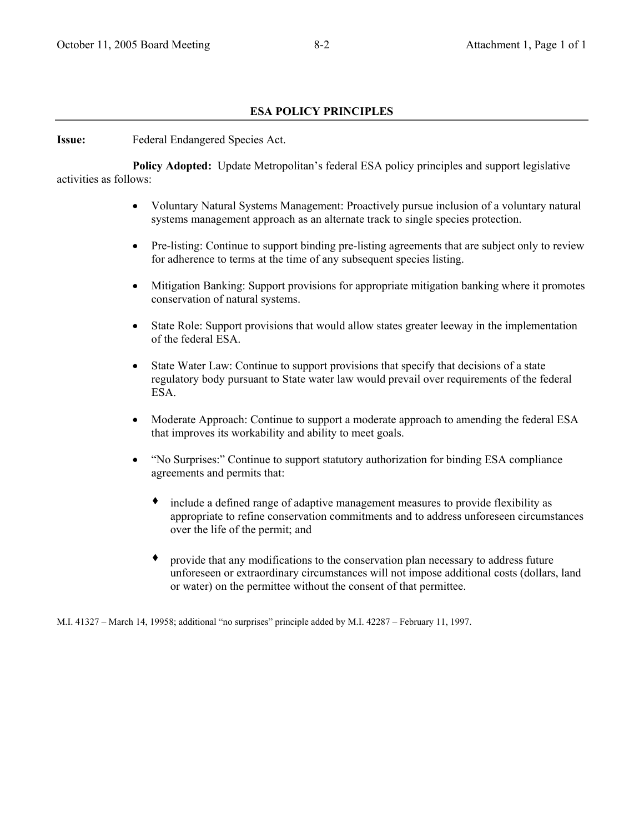#### **ESA POLICY PRINCIPLES**

**Issue:** Federal Endangered Species Act.

 **Policy Adopted:** Update Metropolitan's federal ESA policy principles and support legislative activities as follows:

- Voluntary Natural Systems Management: Proactively pursue inclusion of a voluntary natural systems management approach as an alternate track to single species protection.
- Pre-listing: Continue to support binding pre-listing agreements that are subject only to review for adherence to terms at the time of any subsequent species listing.
- Mitigation Banking: Support provisions for appropriate mitigation banking where it promotes conservation of natural systems.
- State Role: Support provisions that would allow states greater leeway in the implementation of the federal ESA.
- State Water Law: Continue to support provisions that specify that decisions of a state regulatory body pursuant to State water law would prevail over requirements of the federal ESA.
- Moderate Approach: Continue to support a moderate approach to amending the federal ESA that improves its workability and ability to meet goals.
- "No Surprises:" Continue to support statutory authorization for binding ESA compliance agreements and permits that:
	- include a defined range of adaptive management measures to provide flexibility as appropriate to refine conservation commitments and to address unforeseen circumstances over the life of the permit; and
	- provide that any modifications to the conservation plan necessary to address future unforeseen or extraordinary circumstances will not impose additional costs (dollars, land or water) on the permittee without the consent of that permittee.

M.I. 41327 – March 14, 19958; additional "no surprises" principle added by M.I. 42287 – February 11, 1997.